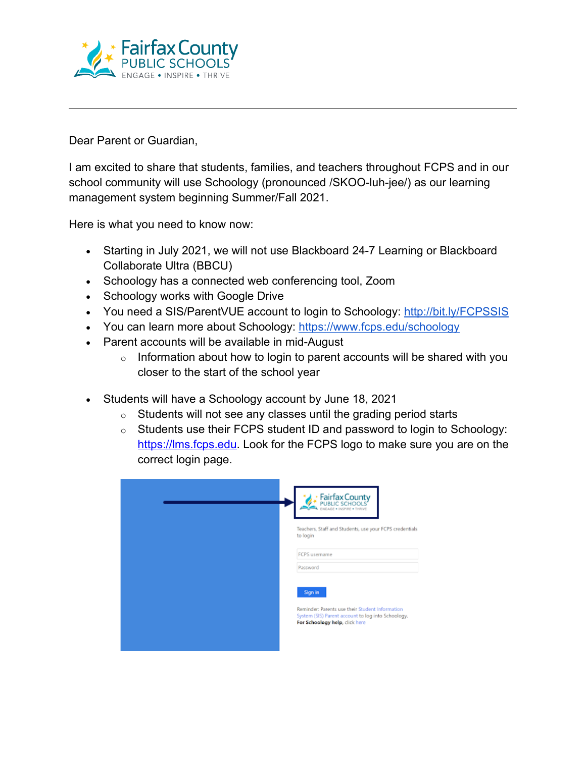

Dear Parent or Guardian,

I am excited to share that students, families, and teachers throughout FCPS and in our school community will use Schoology (pronounced /SKOO-luh-jee/) as our learning management system beginning Summer/Fall 2021.

Here is what you need to know now:

- Starting in July 2021, we will not use Blackboard 24-7 Learning or Blackboard Collaborate Ultra (BBCU)
- Schoology has a connected web conferencing tool, Zoom
- Schoology works with Google Drive
- You need a SIS/ParentVUE account to login to Schoology:<http://bit.ly/FCPSSIS>
- You can learn more about Schoology:<https://www.fcps.edu/schoology>
- Parent accounts will be available in mid-August
	- $\circ$  Information about how to login to parent accounts will be shared with you closer to the start of the school year
- Students will have a Schoology account by June 18, 2021
	- $\circ$  Students will not see any classes until the grading period starts
	- o Students use their FCPS student ID and password to login to Schoology: [https://lms.fcps.edu.](https://lms.fcps.edu/) Look for the FCPS logo to make sure you are on the correct login page.